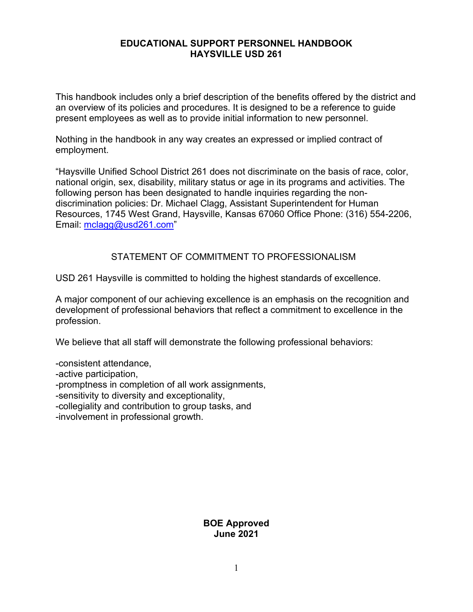#### **EDUCATIONAL SUPPORT PERSONNEL HANDBOOK HAYSVILLE USD 261**

This handbook includes only a brief description of the benefits offered by the district and an overview of its policies and procedures. It is designed to be a reference to guide present employees as well as to provide initial information to new personnel.

Nothing in the handbook in any way creates an expressed or implied contract of employment.

"Haysville Unified School District 261 does not discriminate on the basis of race, color, national origin, sex, disability, military status or age in its programs and activities. The following person has been designated to handle inquiries regarding the nondiscrimination policies: Dr. Michael Clagg, Assistant Superintendent for Human Resources, 1745 West Grand, Haysville, Kansas 67060 Office Phone: (316) 554-2206, Email: [mclagg@usd261.com"](mailto:mclagg@usd261.com)

### STATEMENT OF COMMITMENT TO PROFESSIONALISM

USD 261 Haysville is committed to holding the highest standards of excellence.

A major component of our achieving excellence is an emphasis on the recognition and development of professional behaviors that reflect a commitment to excellence in the profession.

We believe that all staff will demonstrate the following professional behaviors:

-consistent attendance, -active participation, -promptness in completion of all work assignments, -sensitivity to diversity and exceptionality, -collegiality and contribution to group tasks, and -involvement in professional growth.

### **BOE Approved June 2021**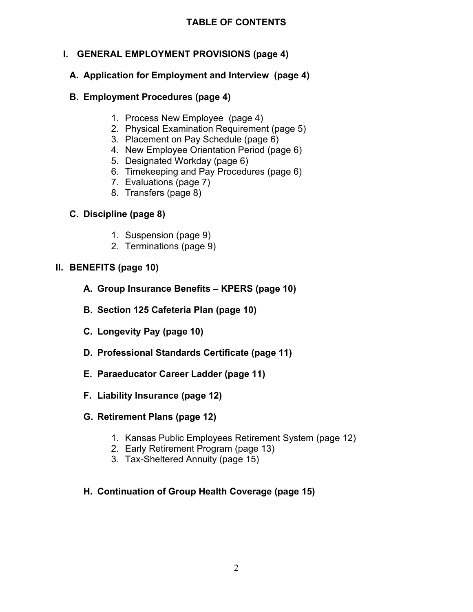# **I. GENERAL EMPLOYMENT PROVISIONS (page 4)**

# **A. Application for Employment and Interview (page 4)**

# **B. Employment Procedures (page 4)**

- 1. Process New Employee (page 4)
- 2. Physical Examination Requirement (page 5)
- 3. Placement on Pay Schedule (page 6)
- 4. New Employee Orientation Period (page 6)
- 5. Designated Workday (page 6)
- 6. Timekeeping and Pay Procedures (page 6)
- 7. Evaluations (page 7)
- 8. Transfers (page 8)

# **C. Discipline (page 8)**

- 1. Suspension (page 9)
- 2. Terminations (page 9)

# **II. BENEFITS (page 10)**

- **A. Group Insurance Benefits – KPERS (page 10)**
- **B. Section 125 Cafeteria Plan (page 10)**
- **C. Longevity Pay (page 10)**
- **D. Professional Standards Certificate (page 11)**
- **E. Paraeducator Career Ladder (page 11)**
- **F. Liability Insurance (page 12)**

# **G. Retirement Plans (page 12)**

- 1. Kansas Public Employees Retirement System (page 12)
- 2. Early Retirement Program (page 13)
- 3. Tax-Sheltered Annuity (page 15)
- **H. Continuation of Group Health Coverage (page 15)**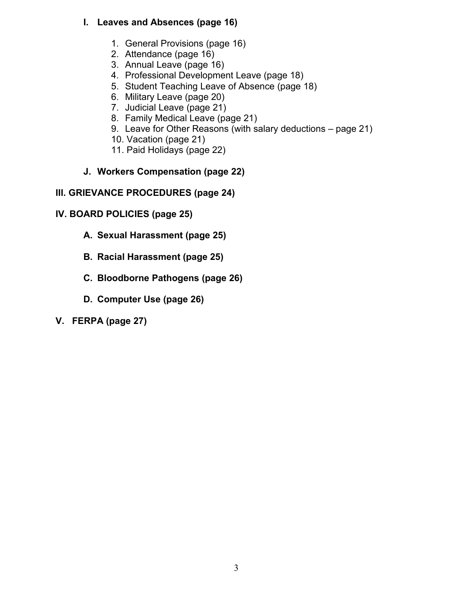# **I. Leaves and Absences (page 16)**

- 1. General Provisions (page 16)
- 2. Attendance (page 16)
- 3. Annual Leave (page 16)
- 4. Professional Development Leave (page 18)
- 5. Student Teaching Leave of Absence (page 18)
- 6. Military Leave (page 20)
- 7. Judicial Leave (page 21)
- 8. Family Medical Leave (page 21)
- 9. Leave for Other Reasons (with salary deductions page 21)
- 10. Vacation (page 21)
- 11. Paid Holidays (page 22)
- **J. Workers Compensation (page 22)**

# **III. GRIEVANCE PROCEDURES (page 24)**

- **IV. BOARD POLICIES (page 25)**
	- **A. Sexual Harassment (page 25)**
	- **B. Racial Harassment (page 25)**
	- **C. Bloodborne Pathogens (page 26)**
	- **D. Computer Use (page 26)**
- **V. FERPA (page 27)**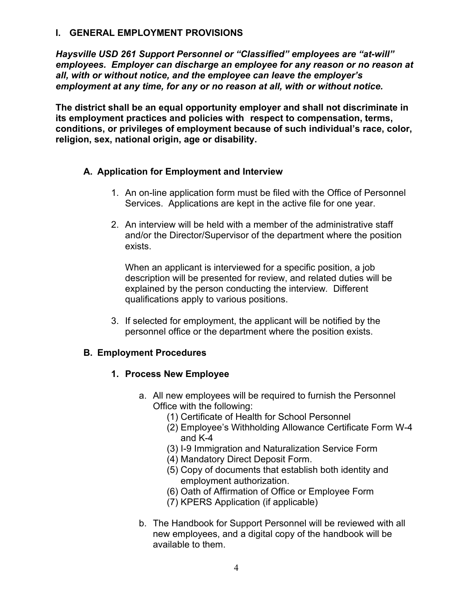#### **I. GENERAL EMPLOYMENT PROVISIONS**

*Haysville USD 261 Support Personnel or "Classified" employees are "at-will" employees. Employer can discharge an employee for any reason or no reason at all, with or without notice, and the employee can leave the employer's employment at any time, for any or no reason at all, with or without notice.*

**The district shall be an equal opportunity employer and shall not discriminate in its employment practices and policies with respect to compensation, terms, conditions, or privileges of employment because of such individual's race, color, religion, sex, national origin, age or disability.**

### **A. Application for Employment and Interview**

- 1. An on-line application form must be filed with the Office of Personnel Services. Applications are kept in the active file for one year.
- 2. An interview will be held with a member of the administrative staff and/or the Director/Supervisor of the department where the position exists.

When an applicant is interviewed for a specific position, a job description will be presented for review, and related duties will be explained by the person conducting the interview*.* Different qualifications apply to various positions.

3. If selected for employment, the applicant will be notified by the personnel office or the department where the position exists.

# **B. Employment Procedures**

#### **1. Process New Employee**

- a. All new employees will be required to furnish the Personnel Office with the following:
	- (1) Certificate of Health for School Personnel
	- (2) Employee's Withholding Allowance Certificate Form W-4 and K-4
	- (3) I-9 Immigration and Naturalization Service Form
	- (4) Mandatory Direct Deposit Form.
	- (5) Copy of documents that establish both identity and employment authorization.
	- (6) Oath of Affirmation of Office or Employee Form
	- (7) KPERS Application (if applicable)
- b. The Handbook for Support Personnel will be reviewed with all new employees, and a digital copy of the handbook will be available to them.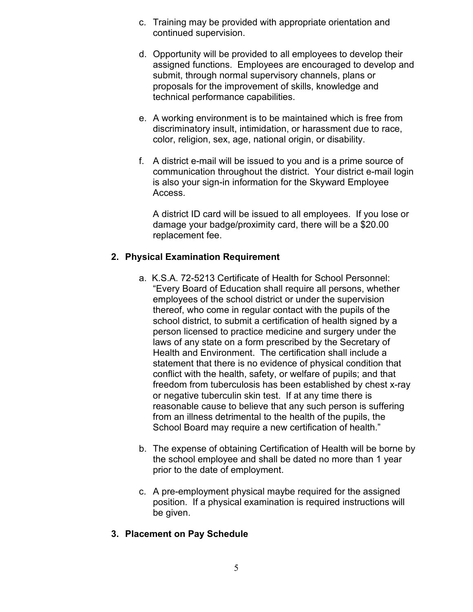- c. Training may be provided with appropriate orientation and continued supervision.
- d. Opportunity will be provided to all employees to develop their assigned functions. Employees are encouraged to develop and submit, through normal supervisory channels, plans or proposals for the improvement of skills, knowledge and technical performance capabilities.
- e. A working environment is to be maintained which is free from discriminatory insult, intimidation, or harassment due to race, color, religion, sex, age, national origin, or disability.
- f. A district e-mail will be issued to you and is a prime source of communication throughout the district. Your district e-mail login is also your sign-in information for the Skyward Employee Access.

A district ID card will be issued to all employees. If you lose or damage your badge/proximity card, there will be a \$20.00 replacement fee.

# **2. Physical Examination Requirement**

- a. K.S.A. 72-5213 Certificate of Health for School Personnel: "Every Board of Education shall require all persons, whether employees of the school district or under the supervision thereof, who come in regular contact with the pupils of the school district, to submit a certification of health signed by a person licensed to practice medicine and surgery under the laws of any state on a form prescribed by the Secretary of Health and Environment. The certification shall include a statement that there is no evidence of physical condition that conflict with the health, safety, or welfare of pupils; and that freedom from tuberculosis has been established by chest x-ray or negative tuberculin skin test. If at any time there is reasonable cause to believe that any such person is suffering from an illness detrimental to the health of the pupils, the School Board may require a new certification of health."
- b. The expense of obtaining Certification of Health will be borne by the school employee and shall be dated no more than 1 year prior to the date of employment.
- c. A pre-employment physical maybe required for the assigned position. If a physical examination is required instructions will be given.

# **3. Placement on Pay Schedule**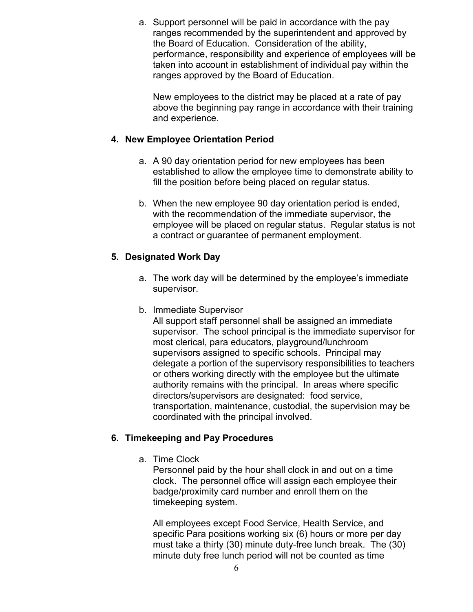a. Support personnel will be paid in accordance with the pay ranges recommended by the superintendent and approved by the Board of Education. Consideration of the ability, performance, responsibility and experience of employees will be taken into account in establishment of individual pay within the ranges approved by the Board of Education.

New employees to the district may be placed at a rate of pay above the beginning pay range in accordance with their training and experience.

## **4. New Employee Orientation Period**

- a. A 90 day orientation period for new employees has been established to allow the employee time to demonstrate ability to fill the position before being placed on regular status.
- b. When the new employee 90 day orientation period is ended, with the recommendation of the immediate supervisor, the employee will be placed on regular status. Regular status is not a contract or guarantee of permanent employment.

### **5. Designated Work Day**

- a. The work day will be determined by the employee's immediate supervisor.
- b. Immediate Supervisor

All support staff personnel shall be assigned an immediate supervisor. The school principal is the immediate supervisor for most clerical, para educators, playground/lunchroom supervisors assigned to specific schools. Principal may delegate a portion of the supervisory responsibilities to teachers or others working directly with the employee but the ultimate authority remains with the principal. In areas where specific directors/supervisors are designated: food service, transportation, maintenance, custodial, the supervision may be coordinated with the principal involved.

# **6. Timekeeping and Pay Procedures**

a. Time Clock

Personnel paid by the hour shall clock in and out on a time clock. The personnel office will assign each employee their badge/proximity card number and enroll them on the timekeeping system.

All employees except Food Service, Health Service, and specific Para positions working six (6) hours or more per day must take a thirty (30) minute duty-free lunch break. The (30) minute duty free lunch period will not be counted as time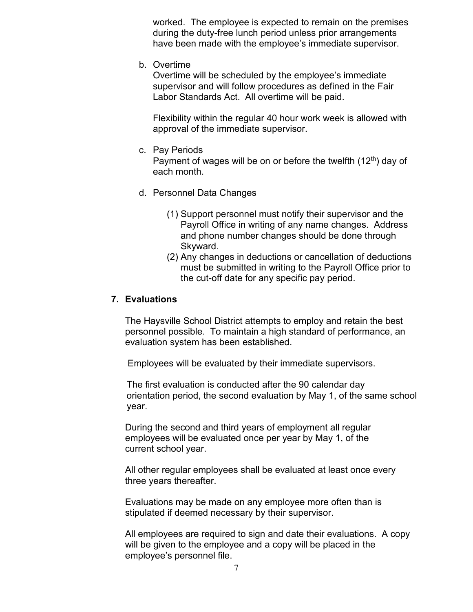worked. The employee is expected to remain on the premises during the duty-free lunch period unless prior arrangements have been made with the employee's immediate supervisor.

b. Overtime

Overtime will be scheduled by the employee's immediate supervisor and will follow procedures as defined in the Fair Labor Standards Act. All overtime will be paid.

Flexibility within the regular 40 hour work week is allowed with approval of the immediate supervisor.

c. Pay Periods

Payment of wages will be on or before the twelfth  $(12<sup>th</sup>)$  day of each month.

- d. Personnel Data Changes
	- (1) Support personnel must notify their supervisor and the Payroll Office in writing of any name changes. Address and phone number changes should be done through Skyward.
	- (2) Any changes in deductions or cancellation of deductions must be submitted in writing to the Payroll Office prior to the cut-off date for any specific pay period.

#### **7. Evaluations**

The Haysville School District attempts to employ and retain the best personnel possible. To maintain a high standard of performance, an evaluation system has been established.

Employees will be evaluated by their immediate supervisors.

 The first evaluation is conducted after the 90 calendar day orientation period, the second evaluation by May 1, of the same school year.

During the second and third years of employment all regular employees will be evaluated once per year by May 1, of the current school year.

All other regular employees shall be evaluated at least once every three years thereafter.

Evaluations may be made on any employee more often than is stipulated if deemed necessary by their supervisor.

All employees are required to sign and date their evaluations. A copy will be given to the employee and a copy will be placed in the employee's personnel file.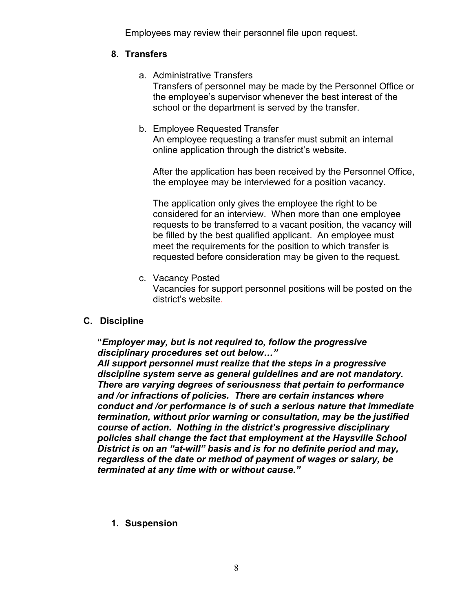Employees may review their personnel file upon request.

#### **8. Transfers**

- a. Administrative Transfers Transfers of personnel may be made by the Personnel Office or the employee's supervisor whenever the best interest of the school or the department is served by the transfer.
- b. Employee Requested Transfer An employee requesting a transfer must submit an internal online application through the district's website.

After the application has been received by the Personnel Office, the employee may be interviewed for a position vacancy.

The application only gives the employee the right to be considered for an interview. When more than one employee requests to be transferred to a vacant position, the vacancy will be filled by the best qualified applicant. An employee must meet the requirements for the position to which transfer is requested before consideration may be given to the request.

c. Vacancy Posted

Vacancies for support personnel positions will be posted on the district's website.

# **C. Discipline**

# **"***Employer may, but is not required to, follow the progressive disciplinary procedures set out below…"*

*All support personnel must realize that the steps in a progressive discipline system serve as general guidelines and are not mandatory. There are varying degrees of seriousness that pertain to performance and /or infractions of policies. There are certain instances where conduct and /or performance is of such a serious nature that immediate termination, without prior warning or consultation, may be the justified course of action. Nothing in the district's progressive disciplinary policies shall change the fact that employment at the Haysville School District is on an "at-will" basis and is for no definite period and may, regardless of the date or method of payment of wages or salary, be terminated at any time with or without cause."*

**1. Suspension**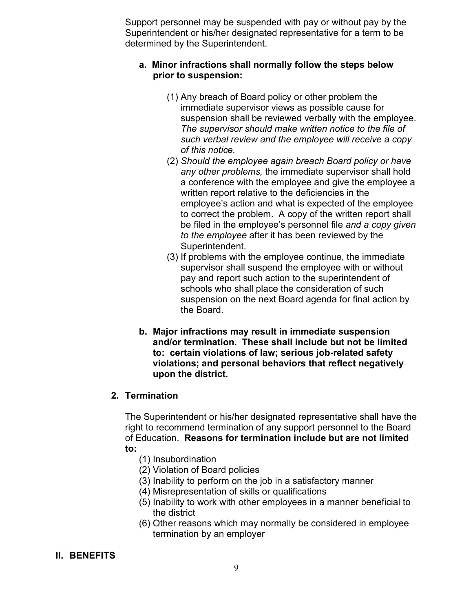Support personnel may be suspended with pay or without pay by the Superintendent or his/her designated representative for a term to be determined by the Superintendent.

#### **a. Minor infractions shall normally follow the steps below prior to suspension:**

- (1) Any breach of Board policy or other problem the immediate supervisor views as possible cause for suspension shall be reviewed verbally with the employee. *The supervisor should make written notice to the file of such verbal review and the employee will receive a copy of this notice.*
- (2) *Should the employee again breach Board policy or have any other problems,* the immediate supervisor shall hold a conference with the employee and give the employee a written report relative to the deficiencies in the employee's action and what is expected of the employee to correct the problem. A copy of the written report shall be filed in the employee's personnel file *and a copy given to the employee* after it has been reviewed by the Superintendent.
- (3) If problems with the employee continue, the immediate supervisor shall suspend the employee with or without pay and report such action to the superintendent of schools who shall place the consideration of such suspension on the next Board agenda for final action by the Board.
- **b. Major infractions may result in immediate suspension and/or termination. These shall include but not be limited to: certain violations of law; serious job-related safety violations; and personal behaviors that reflect negatively upon the district.**

#### **2. Termination**

The Superintendent or his/her designated representative shall have the right to recommend termination of any support personnel to the Board of Education. **Reasons for termination include but are not limited to:**

- (1) Insubordination
- (2) Violation of Board policies
- (3) Inability to perform on the job in a satisfactory manner
- (4) Misrepresentation of skills or qualifications
- (5) Inability to work with other employees in a manner beneficial to the district
- (6) Other reasons which may normally be considered in employee termination by an employer

#### **II. BENEFITS**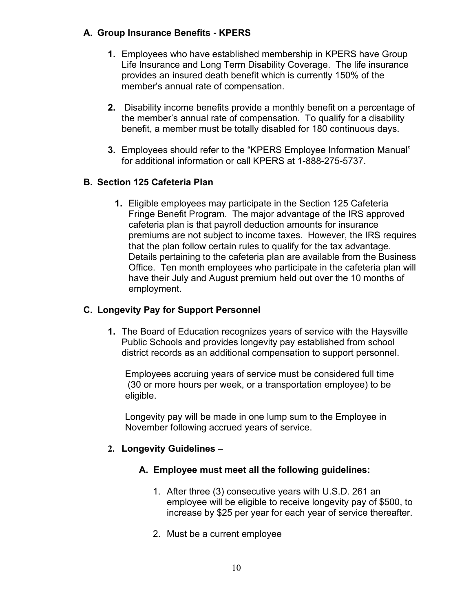# **A. Group Insurance Benefits - KPERS**

- **1.** Employees who have established membership in KPERS have Group Life Insurance and Long Term Disability Coverage. The life insurance provides an insured death benefit which is currently 150% of the member's annual rate of compensation.
- **2.** Disability income benefits provide a monthly benefit on a percentage of the member's annual rate of compensation. To qualify for a disability benefit, a member must be totally disabled for 180 continuous days.
- **3.** Employees should refer to the "KPERS Employee Information Manual" for additional information or call KPERS at 1-888-275-5737.

### **B. Section 125 Cafeteria Plan**

**1.** Eligible employees may participate in the Section 125 Cafeteria Fringe Benefit Program. The major advantage of the IRS approved cafeteria plan is that payroll deduction amounts for insurance premiums are not subject to income taxes. However, the IRS requires that the plan follow certain rules to qualify for the tax advantage. Details pertaining to the cafeteria plan are available from the Business Office. Ten month employees who participate in the cafeteria plan will have their July and August premium held out over the 10 months of employment.

## **C. Longevity Pay for Support Personnel**

**1.** The Board of Education recognizes years of service with the Haysville Public Schools and provides longevity pay established from school district records as an additional compensation to support personnel.

Employees accruing years of service must be considered full time (30 or more hours per week, or a transportation employee) to be eligible.

Longevity pay will be made in one lump sum to the Employee in November following accrued years of service.

#### **2. Longevity Guidelines –**

- **A. Employee must meet all the following guidelines:**
	- 1. After three (3) consecutive years with U.S.D. 261 an employee will be eligible to receive longevity pay of \$500, to increase by \$25 per year for each year of service thereafter.
	- 2. Must be a current employee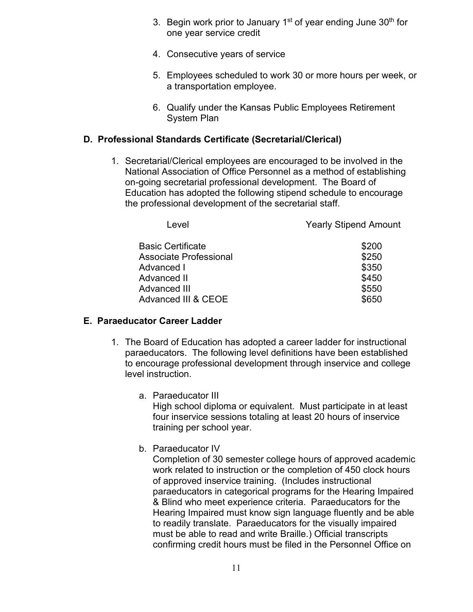- 3. Begin work prior to January  $1<sup>st</sup>$  of year ending June  $30<sup>th</sup>$  for one year service credit
- 4. Consecutive years of service
- 5. Employees scheduled to work 30 or more hours per week, or a transportation employee.
- 6. Qualify under the Kansas Public Employees Retirement System Plan

# **D. Professional Standards Certificate (Secretarial/Clerical)**

1. Secretarial/Clerical employees are encouraged to be involved in the National Association of Office Personnel as a method of establishing on-going secretarial professional development. The Board of Education has adopted the following stipend schedule to encourage the professional development of the secretarial staff.

| Level                    | <b>Yearly Stipend Amount</b> |
|--------------------------|------------------------------|
| <b>Basic Certificate</b> | \$200                        |
| Associate Professional   | \$250                        |
| Advanced I               | \$350                        |
| Advanced II              | \$450                        |
| Advanced III             | \$550                        |
| Advanced III & CEOE      | \$650                        |
|                          |                              |

# **E. Paraeducator Career Ladder**

- 1. The Board of Education has adopted a career ladder for instructional paraeducators. The following level definitions have been established to encourage professional development through inservice and college level instruction.
	- a. Paraeducator III High school diploma or equivalent. Must participate in at least four inservice sessions totaling at least 20 hours of inservice training per school year.
	- b. Paraeducator IV

Completion of 30 semester college hours of approved academic work related to instruction or the completion of 450 clock hours of approved inservice training. (Includes instructional paraeducators in categorical programs for the Hearing Impaired & Blind who meet experience criteria. Paraeducators for the Hearing Impaired must know sign language fluently and be able to readily translate. Paraeducators for the visually impaired must be able to read and write Braille.) Official transcripts confirming credit hours must be filed in the Personnel Office on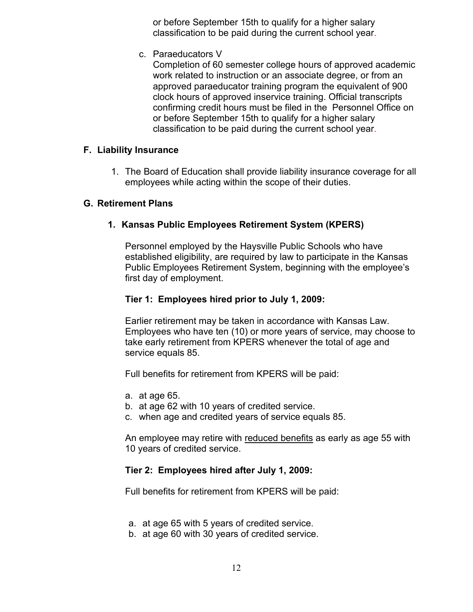or before September 15th to qualify for a higher salary classification to be paid during the current school year.

c. Paraeducators V

Completion of 60 semester college hours of approved academic work related to instruction or an associate degree, or from an approved paraeducator training program the equivalent of 900 clock hours of approved inservice training. Official transcripts confirming credit hours must be filed in the Personnel Office on or before September 15th to qualify for a higher salary classification to be paid during the current school year.

#### **F. Liability Insurance**

1. The Board of Education shall provide liability insurance coverage for all employees while acting within the scope of their duties.

#### **G. Retirement Plans**

### **1. Kansas Public Employees Retirement System (KPERS)**

Personnel employed by the Haysville Public Schools who have established eligibility, are required by law to participate in the Kansas Public Employees Retirement System, beginning with the employee's first day of employment.

#### **Tier 1: Employees hired prior to July 1, 2009:**

Earlier retirement may be taken in accordance with Kansas Law. Employees who have ten (10) or more years of service, may choose to take early retirement from KPERS whenever the total of age and service equals 85.

Full benefits for retirement from KPERS will be paid:

- a. at age 65.
- b. at age 62 with 10 years of credited service.
- c. when age and credited years of service equals 85.

An employee may retire with reduced benefits as early as age 55 with 10 years of credited service.

#### **Tier 2: Employees hired after July 1, 2009:**

Full benefits for retirement from KPERS will be paid:

- a. at age 65 with 5 years of credited service.
- b. at age 60 with 30 years of credited service.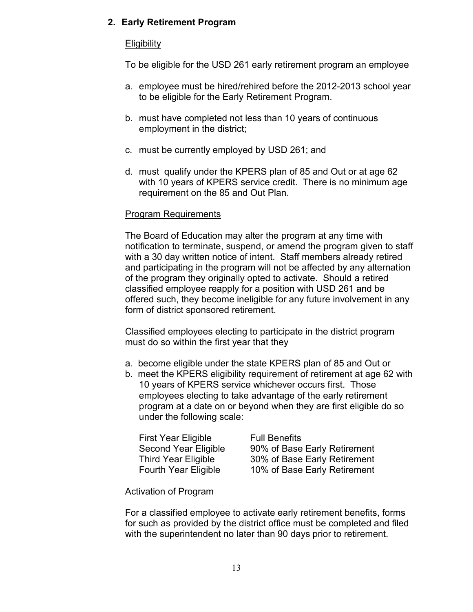# **2. Early Retirement Program**

### **Eligibility**

To be eligible for the USD 261 early retirement program an employee

- a. employee must be hired/rehired before the 2012-2013 school year to be eligible for the Early Retirement Program.
- b. must have completed not less than 10 years of continuous employment in the district;
- c. must be currently employed by USD 261; and
- d. must qualify under the KPERS plan of 85 and Out or at age 62 with 10 years of KPERS service credit. There is no minimum age requirement on the 85 and Out Plan.

### Program Requirements

The Board of Education may alter the program at any time with notification to terminate, suspend, or amend the program given to staff with a 30 day written notice of intent. Staff members already retired and participating in the program will not be affected by any alternation of the program they originally opted to activate. Should a retired classified employee reapply for a position with USD 261 and be offered such, they become ineligible for any future involvement in any form of district sponsored retirement.

Classified employees electing to participate in the district program must do so within the first year that they

- a. become eligible under the state KPERS plan of 85 and Out or
- b. meet the KPERS eligibility requirement of retirement at age 62 with 10 years of KPERS service whichever occurs first. Those employees electing to take advantage of the early retirement program at a date on or beyond when they are first eligible do so under the following scale:

| <b>First Year Eligible</b>  |  |
|-----------------------------|--|
| <b>Second Year Eligible</b> |  |
| <b>Third Year Eligible</b>  |  |
| <b>Fourth Year Eligible</b> |  |

**Full Benefits** 90% of Base Early Retirement 30% of Base Early Retirement 10% of Base Early Retirement

#### Activation of Program

For a classified employee to activate early retirement benefits, forms for such as provided by the district office must be completed and filed with the superintendent no later than 90 days prior to retirement.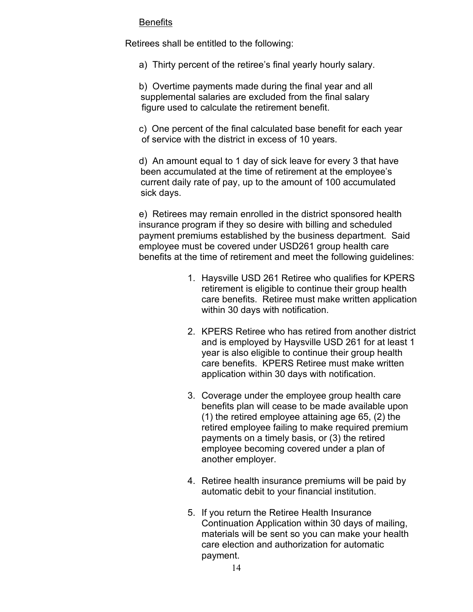#### **Benefits**

Retirees shall be entitled to the following:

a) Thirty percent of the retiree's final yearly hourly salary.

b) Overtime payments made during the final year and all supplemental salaries are excluded from the final salary figure used to calculate the retirement benefit.

c) One percent of the final calculated base benefit for each year of service with the district in excess of 10 years.

d) An amount equal to 1 day of sick leave for every 3 that have been accumulated at the time of retirement at the employee's current daily rate of pay, up to the amount of 100 accumulated sick days.

e) Retirees may remain enrolled in the district sponsored health insurance program if they so desire with billing and scheduled payment premiums established by the business department. Said employee must be covered under USD261 group health care benefits at the time of retirement and meet the following guidelines:

- 1. Haysville USD 261 Retiree who qualifies for KPERS retirement is eligible to continue their group health care benefits. Retiree must make written application within 30 days with notification.
- 2. KPERS Retiree who has retired from another district and is employed by Haysville USD 261 for at least 1 year is also eligible to continue their group health care benefits. KPERS Retiree must make written application within 30 days with notification.
- 3. Coverage under the employee group health care benefits plan will cease to be made available upon (1) the retired employee attaining age 65, (2) the retired employee failing to make required premium payments on a timely basis, or (3) the retired employee becoming covered under a plan of another employer.
- 4. Retiree health insurance premiums will be paid by automatic debit to your financial institution.
- 5. If you return the Retiree Health Insurance Continuation Application within 30 days of mailing, materials will be sent so you can make your health care election and authorization for automatic payment.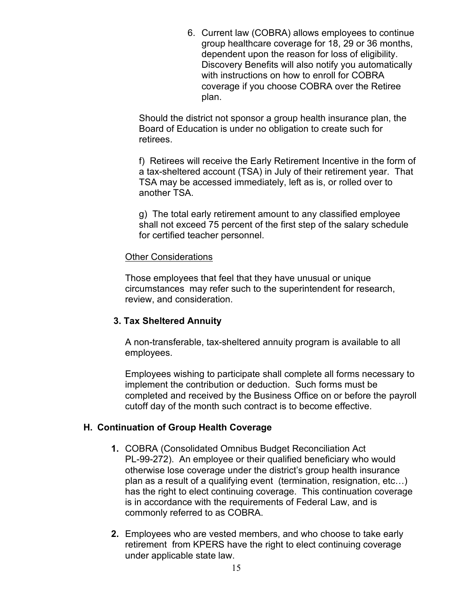6. Current law (COBRA) allows employees to continue group healthcare coverage for 18, 29 or 36 months, dependent upon the reason for loss of eligibility. Discovery Benefits will also notify you automatically with instructions on how to enroll for COBRA coverage if you choose COBRA over the Retiree plan.

Should the district not sponsor a group health insurance plan, the Board of Education is under no obligation to create such for retirees.

f) Retirees will receive the Early Retirement Incentive in the form of a tax-sheltered account (TSA) in July of their retirement year. That TSA may be accessed immediately, left as is, or rolled over to another TSA.

g) The total early retirement amount to any classified employee shall not exceed 75 percent of the first step of the salary schedule for certified teacher personnel.

#### Other Considerations

Those employees that feel that they have unusual or unique circumstances may refer such to the superintendent for research, review, and consideration.

#### **3. Tax Sheltered Annuity**

A non-transferable, tax-sheltered annuity program is available to all employees.

Employees wishing to participate shall complete all forms necessary to implement the contribution or deduction. Such forms must be completed and received by the Business Office on or before the payroll cutoff day of the month such contract is to become effective.

# **H. Continuation of Group Health Coverage**

- **1.** COBRA (Consolidated Omnibus Budget Reconciliation Act PL-99-272). An employee or their qualified beneficiary who would otherwise lose coverage under the district's group health insurance plan as a result of a qualifying event (termination, resignation, etc…) has the right to elect continuing coverage. This continuation coverage is in accordance with the requirements of Federal Law, and is commonly referred to as COBRA.
- **2.** Employees who are vested members, and who choose to take early retirement from KPERS have the right to elect continuing coverage under applicable state law.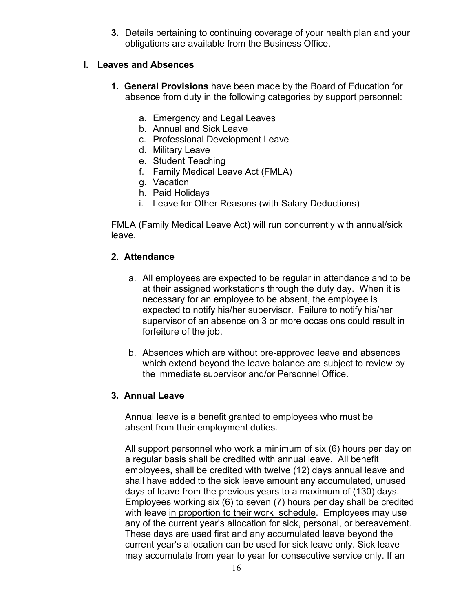**3.** Details pertaining to continuing coverage of your health plan and your obligations are available from the Business Office.

#### **I. Leaves and Absences**

- **1. General Provisions** have been made by the Board of Education for absence from duty in the following categories by support personnel:
	- a. Emergency and Legal Leaves
	- b. Annual and Sick Leave
	- c. Professional Development Leave
	- d. Military Leave
	- e. Student Teaching
	- f. Family Medical Leave Act (FMLA)
	- g. Vacation
	- h. Paid Holidays
	- i. Leave for Other Reasons (with Salary Deductions)

FMLA (Family Medical Leave Act) will run concurrently with annual/sick leave.

### **2. Attendance**

- a. All employees are expected to be regular in attendance and to be at their assigned workstations through the duty day. When it is necessary for an employee to be absent, the employee is expected to notify his/her supervisor. Failure to notify his/her supervisor of an absence on 3 or more occasions could result in forfeiture of the job.
- b. Absences which are without pre-approved leave and absences which extend beyond the leave balance are subject to review by the immediate supervisor and/or Personnel Office.

# **3. Annual Leave**

Annual leave is a benefit granted to employees who must be absent from their employment duties.

All support personnel who work a minimum of six (6) hours per day on a regular basis shall be credited with annual leave. All benefit employees, shall be credited with twelve (12) days annual leave and shall have added to the sick leave amount any accumulated, unused days of leave from the previous years to a maximum of (130) days. Employees working six (6) to seven (7) hours per day shall be credited with leave in proportion to their work schedule. Employees may use any of the current year's allocation for sick, personal, or bereavement. These days are used first and any accumulated leave beyond the current year's allocation can be used for sick leave only. Sick leave may accumulate from year to year for consecutive service only. If an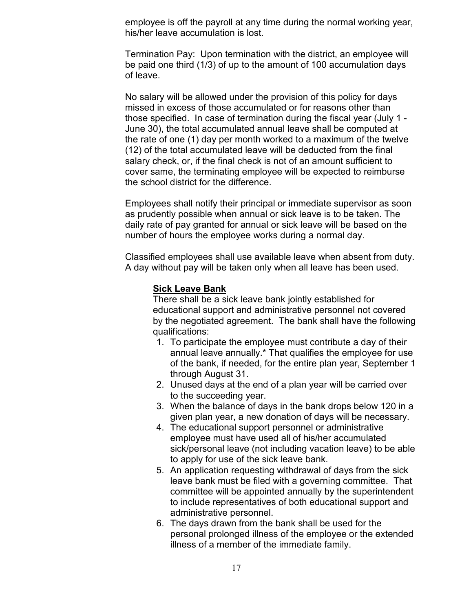employee is off the payroll at any time during the normal working year, his/her leave accumulation is lost.

Termination Pay: Upon termination with the district, an employee will be paid one third (1/3) of up to the amount of 100 accumulation days of leave.

No salary will be allowed under the provision of this policy for days missed in excess of those accumulated or for reasons other than those specified. In case of termination during the fiscal year (July 1 - June 30), the total accumulated annual leave shall be computed at the rate of one (1) day per month worked to a maximum of the twelve (12) of the total accumulated leave will be deducted from the final salary check, or, if the final check is not of an amount sufficient to cover same, the terminating employee will be expected to reimburse the school district for the difference.

Employees shall notify their principal or immediate supervisor as soon as prudently possible when annual or sick leave is to be taken. The daily rate of pay granted for annual or sick leave will be based on the number of hours the employee works during a normal day.

Classified employees shall use available leave when absent from duty. A day without pay will be taken only when all leave has been used.

#### **Sick Leave Bank**

There shall be a sick leave bank jointly established for educational support and administrative personnel not covered by the negotiated agreement. The bank shall have the following qualifications:

- 1. To participate the employee must contribute a day of their annual leave annually.\* That qualifies the employee for use of the bank, if needed, for the entire plan year, September 1 through August 31.
- 2. Unused days at the end of a plan year will be carried over to the succeeding year.
- 3. When the balance of days in the bank drops below 120 in a given plan year, a new donation of days will be necessary.
- 4. The educational support personnel or administrative employee must have used all of his/her accumulated sick/personal leave (not including vacation leave) to be able to apply for use of the sick leave bank.
- 5. An application requesting withdrawal of days from the sick leave bank must be filed with a governing committee. That committee will be appointed annually by the superintendent to include representatives of both educational support and administrative personnel.
- 6. The days drawn from the bank shall be used for the personal prolonged illness of the employee or the extended illness of a member of the immediate family.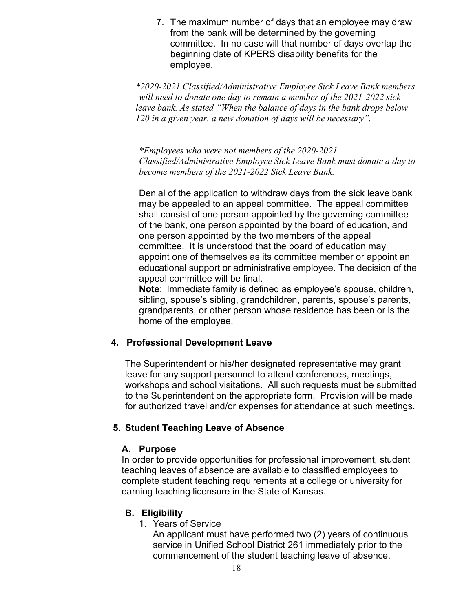7. The maximum number of days that an employee may draw from the bank will be determined by the governing committee. In no case will that number of days overlap the beginning date of KPERS disability benefits for the employee.

*\*2020-2021 Classified/Administrative Employee Sick Leave Bank members will need to donate one day to remain a member of the 2021-2022 sick leave bank. As stated "When the balance of days in the bank drops below 120 in a given year, a new donation of days will be necessary".*

*\*Employees who were not members of the 2020-2021 Classified/Administrative Employee Sick Leave Bank must donate a day to become members of the 2021-2022 Sick Leave Bank.*

Denial of the application to withdraw days from the sick leave bank may be appealed to an appeal committee. The appeal committee shall consist of one person appointed by the governing committee of the bank, one person appointed by the board of education, and one person appointed by the two members of the appeal committee. It is understood that the board of education may appoint one of themselves as its committee member or appoint an educational support or administrative employee. The decision of the appeal committee will be final.

**Note**: Immediate family is defined as employee's spouse, children, sibling, spouse's sibling, grandchildren, parents, spouse's parents, grandparents, or other person whose residence has been or is the home of the employee.

#### **4. Professional Development Leave**

The Superintendent or his/her designated representative may grant leave for any support personnel to attend conferences, meetings, workshops and school visitations. All such requests must be submitted to the Superintendent on the appropriate form. Provision will be made for authorized travel and/or expenses for attendance at such meetings.

#### **5. Student Teaching Leave of Absence**

#### **A. Purpose**

In order to provide opportunities for professional improvement, student teaching leaves of absence are available to classified employees to complete student teaching requirements at a college or university for earning teaching licensure in the State of Kansas.

# **B. Eligibility**

1. Years of Service

An applicant must have performed two (2) years of continuous service in Unified School District 261 immediately prior to the commencement of the student teaching leave of absence.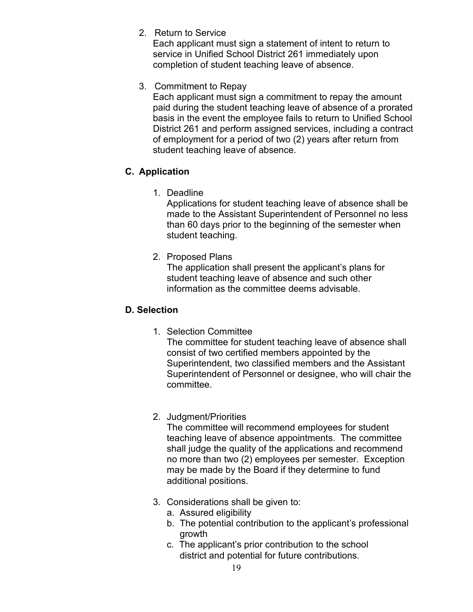2. Return to Service

Each applicant must sign a statement of intent to return to service in Unified School District 261 immediately upon completion of student teaching leave of absence.

3. Commitment to Repay

Each applicant must sign a commitment to repay the amount paid during the student teaching leave of absence of a prorated basis in the event the employee fails to return to Unified School District 261 and perform assigned services, including a contract of employment for a period of two (2) years after return from student teaching leave of absence.

# **C. Application**

1. Deadline

Applications for student teaching leave of absence shall be made to the Assistant Superintendent of Personnel no less than 60 days prior to the beginning of the semester when student teaching.

2. Proposed Plans

The application shall present the applicant's plans for student teaching leave of absence and such other information as the committee deems advisable.

#### **D. Selection**

1. Selection Committee

The committee for student teaching leave of absence shall consist of two certified members appointed by the Superintendent, two classified members and the Assistant Superintendent of Personnel or designee, who will chair the committee.

2. Judgment/Priorities

The committee will recommend employees for student teaching leave of absence appointments. The committee shall judge the quality of the applications and recommend no more than two (2) employees per semester. Exception may be made by the Board if they determine to fund additional positions.

- 3. Considerations shall be given to:
	- a. Assured eligibility
	- b. The potential contribution to the applicant's professional growth
	- c. The applicant's prior contribution to the school district and potential for future contributions.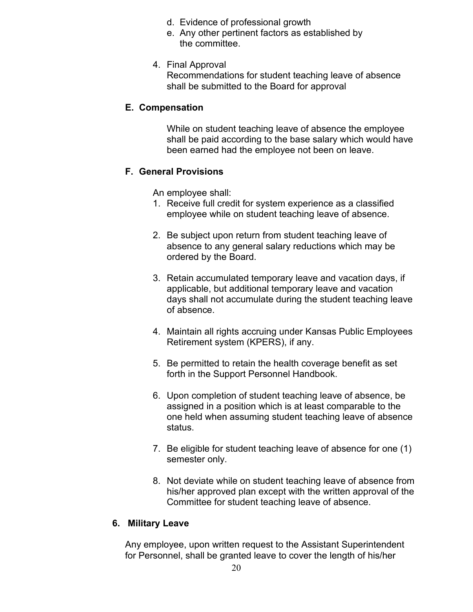- d. Evidence of professional growth
- e. Any other pertinent factors as established by the committee.
- 4. Final Approval

Recommendations for student teaching leave of absence shall be submitted to the Board for approval

#### **E. Compensation**

While on student teaching leave of absence the employee shall be paid according to the base salary which would have been earned had the employee not been on leave.

### **F. General Provisions**

An employee shall:

- 1. Receive full credit for system experience as a classified employee while on student teaching leave of absence.
- 2. Be subject upon return from student teaching leave of absence to any general salary reductions which may be ordered by the Board.
- 3. Retain accumulated temporary leave and vacation days, if applicable, but additional temporary leave and vacation days shall not accumulate during the student teaching leave of absence.
- 4. Maintain all rights accruing under Kansas Public Employees Retirement system (KPERS), if any.
- 5. Be permitted to retain the health coverage benefit as set forth in the Support Personnel Handbook.
- 6. Upon completion of student teaching leave of absence, be assigned in a position which is at least comparable to the one held when assuming student teaching leave of absence status.
- 7. Be eligible for student teaching leave of absence for one (1) semester only.
- 8. Not deviate while on student teaching leave of absence from his/her approved plan except with the written approval of the Committee for student teaching leave of absence.

#### **6. Military Leave**

Any employee, upon written request to the Assistant Superintendent for Personnel, shall be granted leave to cover the length of his/her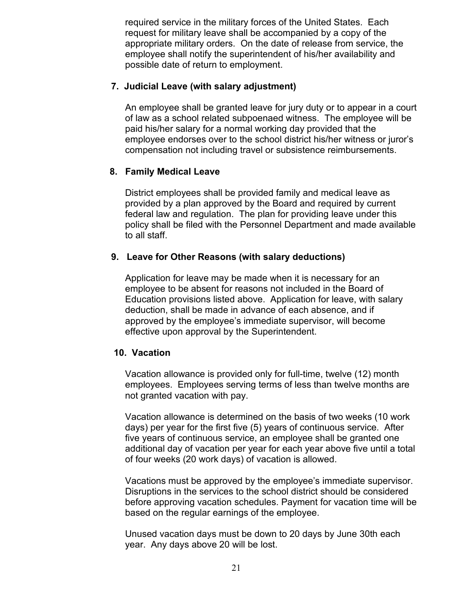required service in the military forces of the United States. Each request for military leave shall be accompanied by a copy of the appropriate military orders. On the date of release from service, the employee shall notify the superintendent of his/her availability and possible date of return to employment.

#### **7. Judicial Leave (with salary adjustment)**

An employee shall be granted leave for jury duty or to appear in a court of law as a school related subpoenaed witness. The employee will be paid his/her salary for a normal working day provided that the employee endorses over to the school district his/her witness or juror's compensation not including travel or subsistence reimbursements.

### **8. Family Medical Leave**

District employees shall be provided family and medical leave as provided by a plan approved by the Board and required by current federal law and regulation. The plan for providing leave under this policy shall be filed with the Personnel Department and made available to all staff.

### **9. Leave for Other Reasons (with salary deductions)**

Application for leave may be made when it is necessary for an employee to be absent for reasons not included in the Board of Education provisions listed above. Application for leave, with salary deduction, shall be made in advance of each absence, and if approved by the employee's immediate supervisor, will become effective upon approval by the Superintendent.

#### **10. Vacation**

Vacation allowance is provided only for full-time, twelve (12) month employees. Employees serving terms of less than twelve months are not granted vacation with pay.

Vacation allowance is determined on the basis of two weeks (10 work days) per year for the first five (5) years of continuous service. After five years of continuous service, an employee shall be granted one additional day of vacation per year for each year above five until a total of four weeks (20 work days) of vacation is allowed.

Vacations must be approved by the employee's immediate supervisor. Disruptions in the services to the school district should be considered before approving vacation schedules. Payment for vacation time will be based on the regular earnings of the employee.

Unused vacation days must be down to 20 days by June 30th each year. Any days above 20 will be lost.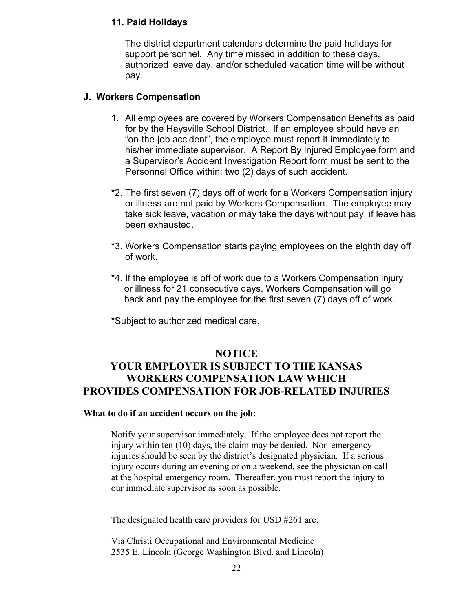#### **11. Paid Holidays**

The district department calendars determine the paid holidays for support personnel. Any time missed in addition to these days, authorized leave day, and/or scheduled vacation time will be without pay.

#### **J. Workers Compensation**

- 1. All employees are covered by Workers Compensation Benefits as paid for by the Haysville School District. If an employee should have an "on-the-job accident", the employee must report it immediately to his/her immediate supervisor. A Report By Injured Employee form and a Supervisor's Accident Investigation Report form must be sent to the Personnel Office within; two (2) days of such accident.
- \*2. The first seven (7) days off of work for a Workers Compensation injury or illness are not paid by Workers Compensation. The employee may take sick leave, vacation or may take the days without pay, if leave has been exhausted.
- \*3. Workers Compensation starts paying employees on the eighth day off of work.
- \*4. If the employee is off of work due to a Workers Compensation injury or illness for 21 consecutive days, Workers Compensation will go back and pay the employee for the first seven (7) days off of work.

\*Subject to authorized medical care.

# **NOTICE YOUR EMPLOYER IS SUBJECT TO THE KANSAS WORKERS COMPENSATION LAW WHICH PROVIDES COMPENSATION FOR JOB-RELATED INJURIES**

#### **What to do if an accident occurs on the job:**

Notify your supervisor immediately. If the employee does not report the injury within ten (10) days, the claim may be denied. Non-emergency injuries should be seen by the district's designated physician. If a serious injury occurs during an evening or on a weekend, see the physician on call at the hospital emergency room. Thereafter, you must report the injury to our immediate supervisor as soon as possible.

The designated health care providers for USD #261 are:

Via Christi Occupational and Environmental Medicine 2535 E. Lincoln (George Washington Blvd. and Lincoln)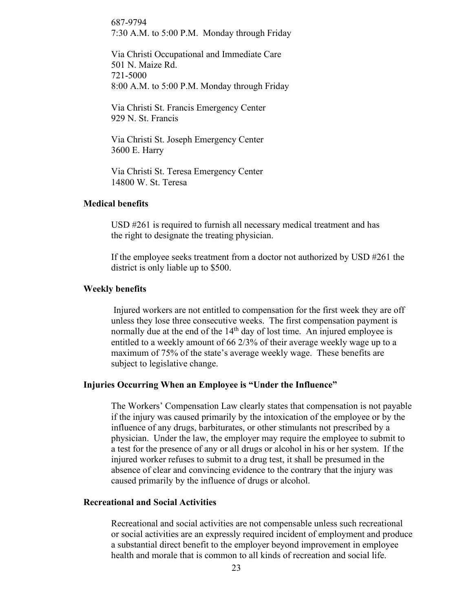687-9794 7:30 A.M. to 5:00 P.M. Monday through Friday

Via Christi Occupational and Immediate Care 501 N. Maize Rd. 721-5000 8:00 A.M. to 5:00 P.M. Monday through Friday

Via Christi St. Francis Emergency Center 929 N. St. Francis

Via Christi St. Joseph Emergency Center 3600 E. Harry

Via Christi St. Teresa Emergency Center 14800 W. St. Teresa

#### **Medical benefits**

USD #261 is required to furnish all necessary medical treatment and has the right to designate the treating physician.

If the employee seeks treatment from a doctor not authorized by USD #261 the district is only liable up to \$500.

#### **Weekly benefits**

Injured workers are not entitled to compensation for the first week they are off unless they lose three consecutive weeks. The first compensation payment is normally due at the end of the  $14<sup>th</sup>$  day of lost time. An injured employee is entitled to a weekly amount of 66 2/3% of their average weekly wage up to a maximum of 75% of the state's average weekly wage. These benefits are subject to legislative change.

#### **Injuries Occurring When an Employee is "Under the Influence"**

The Workers' Compensation Law clearly states that compensation is not payable if the injury was caused primarily by the intoxication of the employee or by the influence of any drugs, barbiturates, or other stimulants not prescribed by a physician. Under the law, the employer may require the employee to submit to a test for the presence of any or all drugs or alcohol in his or her system. If the injured worker refuses to submit to a drug test, it shall be presumed in the absence of clear and convincing evidence to the contrary that the injury was caused primarily by the influence of drugs or alcohol.

#### **Recreational and Social Activities**

Recreational and social activities are not compensable unless such recreational or social activities are an expressly required incident of employment and produce a substantial direct benefit to the employer beyond improvement in employee health and morale that is common to all kinds of recreation and social life.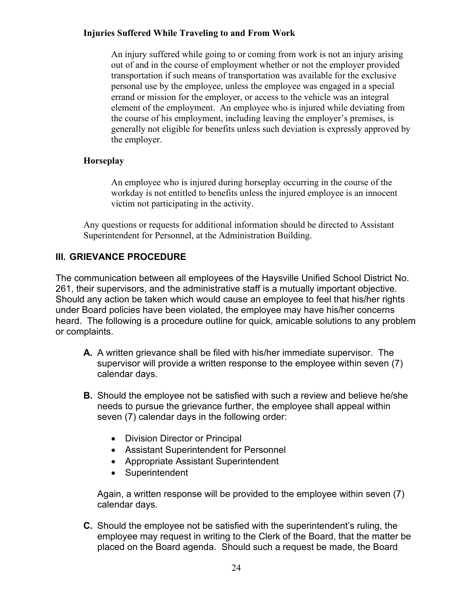#### **Injuries Suffered While Traveling to and From Work**

An injury suffered while going to or coming from work is not an injury arising out of and in the course of employment whether or not the employer provided transportation if such means of transportation was available for the exclusive personal use by the employee, unless the employee was engaged in a special errand or mission for the employer, or access to the vehicle was an integral element of the employment. An employee who is injured while deviating from the course of his employment, including leaving the employer's premises, is generally not eligible for benefits unless such deviation is expressly approved by the employer.

# **Horseplay**

An employee who is injured during horseplay occurring in the course of the workday is not entitled to benefits unless the injured employee is an innocent victim not participating in the activity.

Any questions or requests for additional information should be directed to Assistant Superintendent for Personnel, at the Administration Building.

# **III. GRIEVANCE PROCEDURE**

The communication between all employees of the Haysville Unified School District No. 261, their supervisors, and the administrative staff is a mutually important objective. Should any action be taken which would cause an employee to feel that his/her rights under Board policies have been violated, the employee may have his/her concerns heard. The following is a procedure outline for quick, amicable solutions to any problem or complaints.

- **A.** A written grievance shall be filed with his/her immediate supervisor. The supervisor will provide a written response to the employee within seven (7) calendar days.
- **B.** Should the employee not be satisfied with such a review and believe he/she needs to pursue the grievance further, the employee shall appeal within seven (7) calendar days in the following order:
	- Division Director or Principal
	- Assistant Superintendent for Personnel
	- Appropriate Assistant Superintendent
	- Superintendent

Again, a written response will be provided to the employee within seven (7) calendar days.

**C.** Should the employee not be satisfied with the superintendent's ruling, the employee may request in writing to the Clerk of the Board, that the matter be placed on the Board agenda. Should such a request be made, the Board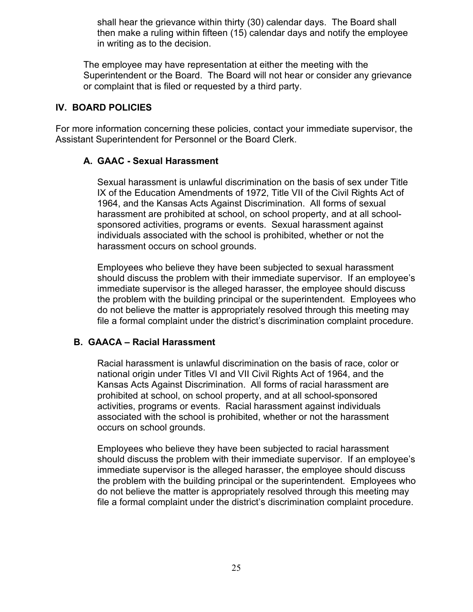shall hear the grievance within thirty (30) calendar days. The Board shall then make a ruling within fifteen (15) calendar days and notify the employee in writing as to the decision.

The employee may have representation at either the meeting with the Superintendent or the Board. The Board will not hear or consider any grievance or complaint that is filed or requested by a third party.

#### **IV. BOARD POLICIES**

For more information concerning these policies, contact your immediate supervisor, the Assistant Superintendent for Personnel or the Board Clerk.

#### **A. GAAC - Sexual Harassment**

Sexual harassment is unlawful discrimination on the basis of sex under Title IX of the Education Amendments of 1972, Title VII of the Civil Rights Act of 1964, and the Kansas Acts Against Discrimination. All forms of sexual harassment are prohibited at school, on school property, and at all schoolsponsored activities, programs or events. Sexual harassment against individuals associated with the school is prohibited, whether or not the harassment occurs on school grounds.

Employees who believe they have been subjected to sexual harassment should discuss the problem with their immediate supervisor. If an employee's immediate supervisor is the alleged harasser, the employee should discuss the problem with the building principal or the superintendent. Employees who do not believe the matter is appropriately resolved through this meeting may file a formal complaint under the district's discrimination complaint procedure.

#### **B. GAACA – Racial Harassment**

Racial harassment is unlawful discrimination on the basis of race, color or national origin under Titles VI and VII Civil Rights Act of 1964, and the Kansas Acts Against Discrimination. All forms of racial harassment are prohibited at school, on school property, and at all school-sponsored activities, programs or events. Racial harassment against individuals associated with the school is prohibited, whether or not the harassment occurs on school grounds.

Employees who believe they have been subjected to racial harassment should discuss the problem with their immediate supervisor. If an employee's immediate supervisor is the alleged harasser, the employee should discuss the problem with the building principal or the superintendent. Employees who do not believe the matter is appropriately resolved through this meeting may file a formal complaint under the district's discrimination complaint procedure.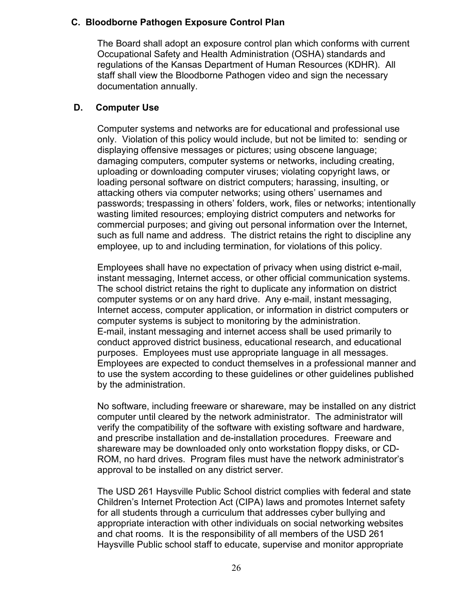#### **C. Bloodborne Pathogen Exposure Control Plan**

The Board shall adopt an exposure control plan which conforms with current Occupational Safety and Health Administration (OSHA) standards and regulations of the Kansas Department of Human Resources (KDHR). All staff shall view the Bloodborne Pathogen video and sign the necessary documentation annually.

#### **D. Computer Use**

Computer systems and networks are for educational and professional use only. Violation of this policy would include, but not be limited to: sending or displaying offensive messages or pictures; using obscene language; damaging computers, computer systems or networks, including creating, uploading or downloading computer viruses; violating copyright laws, or loading personal software on district computers; harassing, insulting, or attacking others via computer networks; using others' usernames and passwords; trespassing in others' folders, work, files or networks; intentionally wasting limited resources; employing district computers and networks for commercial purposes; and giving out personal information over the Internet, such as full name and address. The district retains the right to discipline any employee, up to and including termination, for violations of this policy.

Employees shall have no expectation of privacy when using district e-mail, instant messaging, Internet access, or other official communication systems. The school district retains the right to duplicate any information on district computer systems or on any hard drive. Any e-mail, instant messaging, Internet access, computer application, or information in district computers or computer systems is subject to monitoring by the administration. E-mail, instant messaging and internet access shall be used primarily to conduct approved district business, educational research, and educational purposes. Employees must use appropriate language in all messages. Employees are expected to conduct themselves in a professional manner and to use the system according to these guidelines or other guidelines published by the administration.

No software, including freeware or shareware, may be installed on any district computer until cleared by the network administrator. The administrator will verify the compatibility of the software with existing software and hardware, and prescribe installation and de-installation procedures. Freeware and shareware may be downloaded only onto workstation floppy disks, or CD-ROM, no hard drives. Program files must have the network administrator's approval to be installed on any district server.

The USD 261 Haysville Public School district complies with federal and state Children's Internet Protection Act (CIPA) laws and promotes Internet safety for all students through a curriculum that addresses cyber bullying and appropriate interaction with other individuals on social networking websites and chat rooms. It is the responsibility of all members of the USD 261 Haysville Public school staff to educate, supervise and monitor appropriate